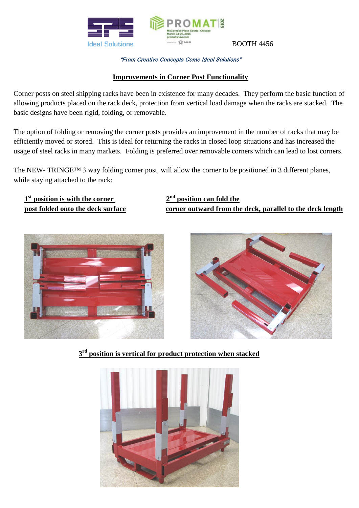

## "From Creative Concepts Come Ideal Solutions"

## **Improvements in Corner Post Functionality**

Corner posts on steel shipping racks have been in existence for many decades. They perform the basic function of allowing products placed on the rack deck, protection from vertical load damage when the racks are stacked. The basic designs have been rigid, folding, or removable.

The option of folding or removing the corner posts provides an improvement in the number of racks that may be efficiently moved or stored. This is ideal for returning the racks in closed loop situations and has increased the usage of steel racks in many markets. Folding is preferred over removable corners which can lead to lost corners.

The NEW- TRINGE™ 3 way folding corner post, will allow the corner to be positioned in 3 different planes, while staying attached to the rack:

 **1 st position is with the corner 2**

**nd position can fold the post folded onto the deck surface corner outward from the deck, parallel to the deck length**





**3 rd position is vertical for product protection when stacked**